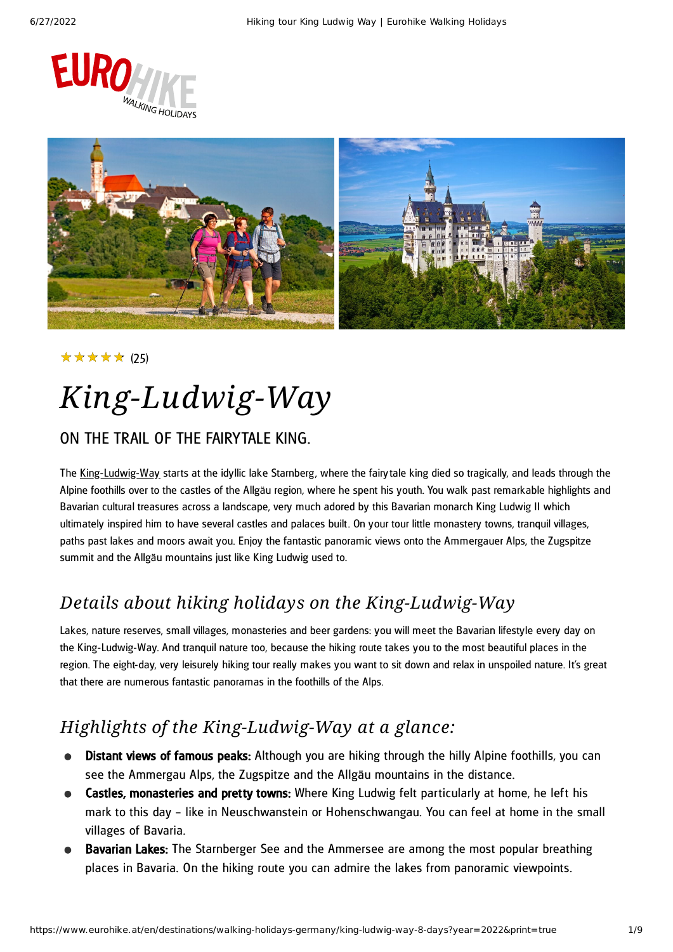



#### (25) ★★★★★

# *King-Ludwig-Way*

#### ON THE TRAIL OF THE FAIRYTALE KING.

The [King-Ludwig-Way](https://www.eurohike.at/en/destinations/walking-holidays-germany/king-ludwig-way) starts at the idyllic lake Starnberg, where the fairytale king died so tragically, and leads through the Alpine foothills over to the castles of the Allgäu region, where he spent his youth. You walk past remarkable highlights and Bavarian cultural treasures across a landscape, very much adored by this Bavarian monarch King Ludwig II which ultimately inspired him to have several castles and palaces built. On your tour little monastery towns, tranquil villages, paths past lakes and moors await you. Enjoy the fantastic panoramic views onto the Ammergauer Alps, the Zugspitze summit and the Allgäu mountains just like King Ludwig used to.

### *Details about hiking holidays on the King-Ludwig-Way*

Lakes, nature reserves, small villages, monasteries and beer gardens: you will meet the Bavarian lifestyle every day on the King-Ludwig-Way. And tranquil nature too, because the hiking route takes you to the most beautiful places in the region. The eight-day, very leisurely hiking tour really makes you want to sit down and relax in unspoiled nature. It's great that there are numerous fantastic panoramas in the foothills of the Alps.

### *Highlights of the King-Ludwig-Way at a glance:*

- Distant views of famous peaks: Although you are hiking through the hilly Alpine foothills, you can  $\bullet$ see the Ammergau Alps, the Zugspitze and the Allgäu mountains in the distance.
- **Castles, monasteries and pretty towns:** Where King Ludwig felt particularly at home, he left his mark to this day – like in Neuschwanstein or Hohenschwangau. You can feel at home in the small villages of Bavaria.
- **Bavarian Lakes:** The Starnberger See and the Ammersee are among the most popular breathing places in Bavaria. On the hiking route you can admire the lakes from panoramic viewpoints.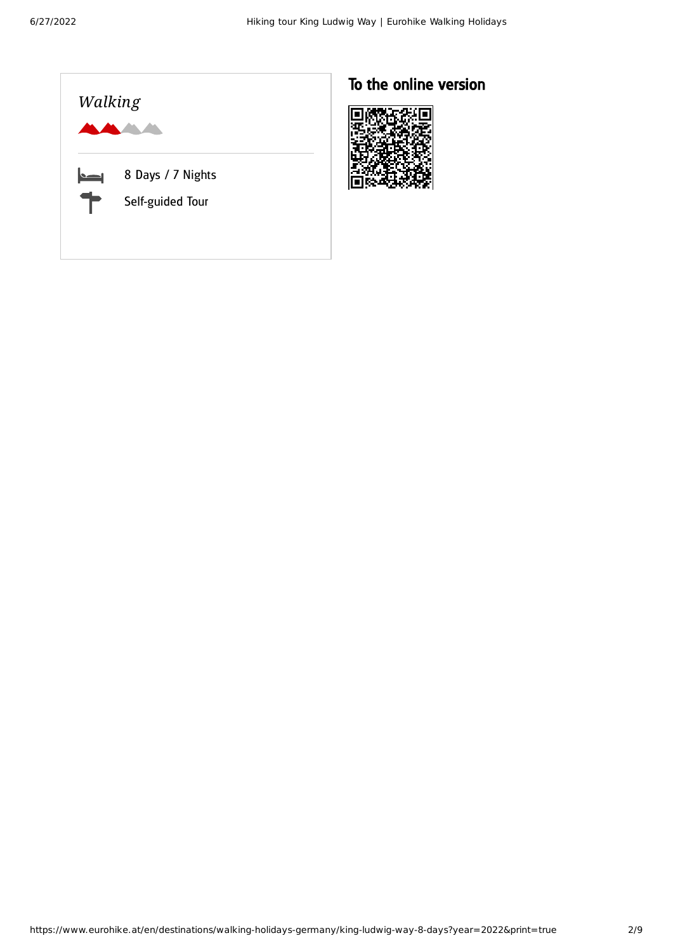

### To the online version

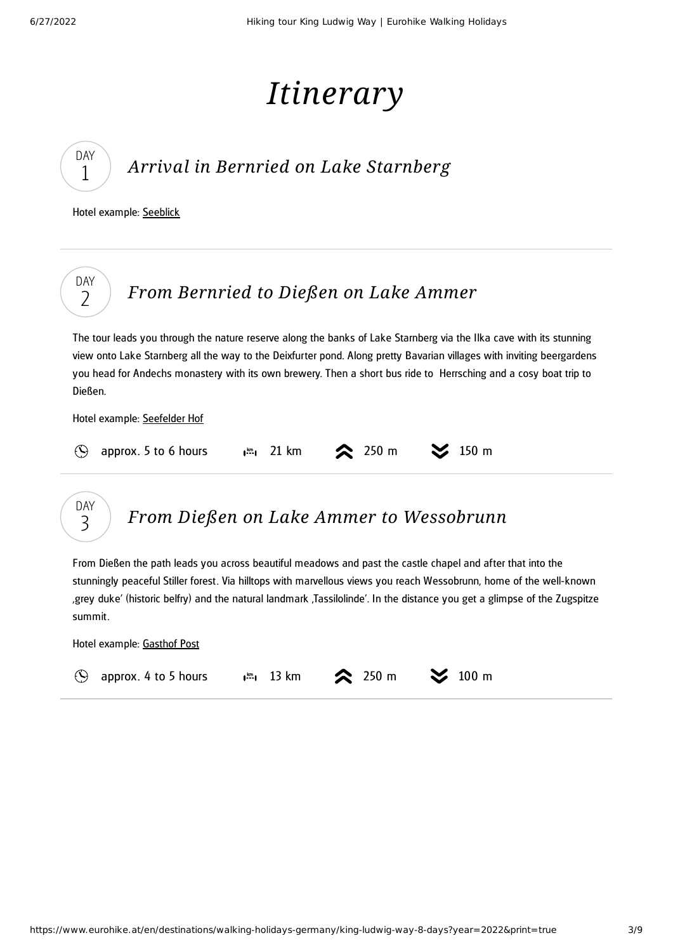# *Itinerary*

## *Arrival in Bernried on Lake [Starnberg](#page-2-0)*

<span id="page-2-0"></span>Hotel example: [Seeblick](https://www.seeblick-bernried.de/)

DAY 1

DAY 3

<span id="page-2-1"></span>

## *From Dießen on Lake Ammer to [Wessobrunn](#page-2-2)*

<span id="page-2-2"></span>From Dießen the path leads you across beautiful meadows and past the castle chapel and after that into the stunningly peaceful Stiller forest. Via hilltops with marvellous views you reach Wessobrunn, home of the well-known 'grey duke' (historic belfry) and the natural landmark 'Tassilolinde'. In the distance you get a glimpse of the Zugspitze summit.

Hotel example: [Gasthof](https://www.post-wessobrunn.de/) Post

|  | $\odot$ approx. 4 to 5 hours |  | $\frac{1}{2}$ 13 km $\approx$ 250 m $\approx$ 100 m |  |  |
|--|------------------------------|--|-----------------------------------------------------|--|--|
|--|------------------------------|--|-----------------------------------------------------|--|--|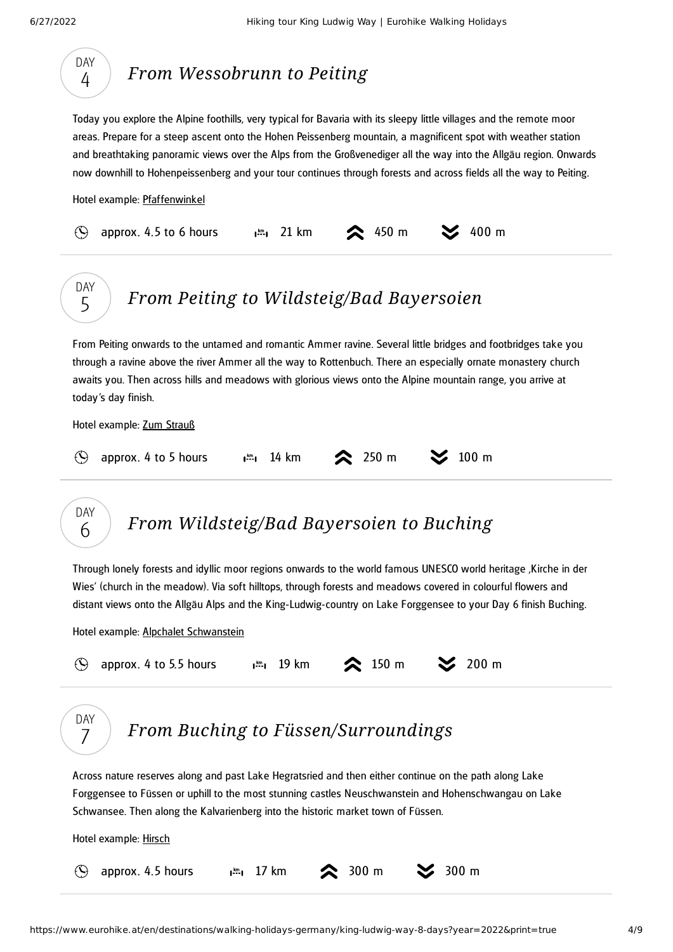<span id="page-3-3"></span><span id="page-3-2"></span><span id="page-3-1"></span><span id="page-3-0"></span>

|                 | Today you explore the Alpine foothills, very typical for Bavaria with its sleepy little villages and the remote moor<br>areas. Prepare for a steep ascent onto the Hohen Peissenberg mountain, a magnificent spot with weather station<br>and breathtaking panoramic views over the Alps from the Großvenediger all the way into the Allgäu region. Onwards<br>now downhill to Hohenpeissenberg and your tour continues through forests and across fields all the way to Peiting. |  |
|-----------------|-----------------------------------------------------------------------------------------------------------------------------------------------------------------------------------------------------------------------------------------------------------------------------------------------------------------------------------------------------------------------------------------------------------------------------------------------------------------------------------|--|
|                 | Hotel example: Pfaffenwinkel                                                                                                                                                                                                                                                                                                                                                                                                                                                      |  |
| $\Theta$        | 400 m<br>approx. 4.5 to 6 hours<br>21 km<br>450 m<br>$\mathbf{I}^{\text{km}}$                                                                                                                                                                                                                                                                                                                                                                                                     |  |
| <b>DAY</b><br>5 | From Peiting to Wildsteig/Bad Bayersoien                                                                                                                                                                                                                                                                                                                                                                                                                                          |  |
|                 | From Peiting onwards to the untamed and romantic Ammer ravine. Several little bridges and footbridges take you<br>through a ravine above the river Ammer all the way to Rottenbuch. There an especially ornate monastery church<br>awaits you. Then across hills and meadows with glorious views onto the Alpine mountain range, you arrive at<br>today's day finish.                                                                                                             |  |
|                 | Hotel example: Zum Strauß                                                                                                                                                                                                                                                                                                                                                                                                                                                         |  |
| $\circledcirc$  | 100 <sub>m</sub><br>250 m<br>approx. 4 to 5 hours<br>$1^{km}$ 14 km                                                                                                                                                                                                                                                                                                                                                                                                               |  |
| <b>DAY</b>      |                                                                                                                                                                                                                                                                                                                                                                                                                                                                                   |  |
| 6               | From Wildsteig/Bad Bayersoien to Buching<br>Through lonely forests and idyllic moor regions onwards to the world famous UNESCO world heritage , Kirche in der<br>Wies' (church in the meadow). Via soft hilltops, through forests and meadows covered in colourful flowers and<br>distant views onto the Allgäu Alps and the King-Ludwig-country on Lake Forggensee to your Day 6 finish Buching.                                                                                 |  |
|                 | Hotel example: Alpchalet Schwanstein                                                                                                                                                                                                                                                                                                                                                                                                                                              |  |
| $\odot$         | $\approx$ 150 m<br>200 m<br>approx. 4 to 5.5 hours<br>$\frac{km}{2}$ 19 km                                                                                                                                                                                                                                                                                                                                                                                                        |  |
| DAY             | <b>From Buching to Füssen/Surroundings</b>                                                                                                                                                                                                                                                                                                                                                                                                                                        |  |
|                 | Across nature reserves along and past Lake Hegratsried and then either continue on the path along Lake<br>Forggensee to Füssen or uphill to the most stunning castles Neuschwanstein and Hohenschwangau on Lake<br>Schwansee. Then along the Kalvarienberg into the historic market town of Füssen.                                                                                                                                                                               |  |
|                 | Hotel example: Hirsch                                                                                                                                                                                                                                                                                                                                                                                                                                                             |  |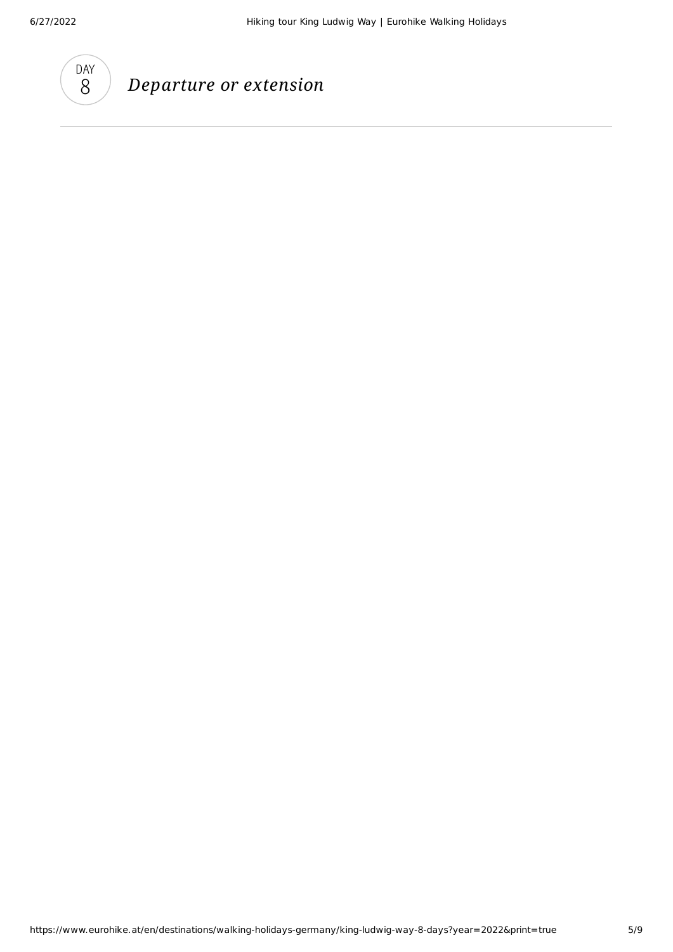

### *Departure or extension*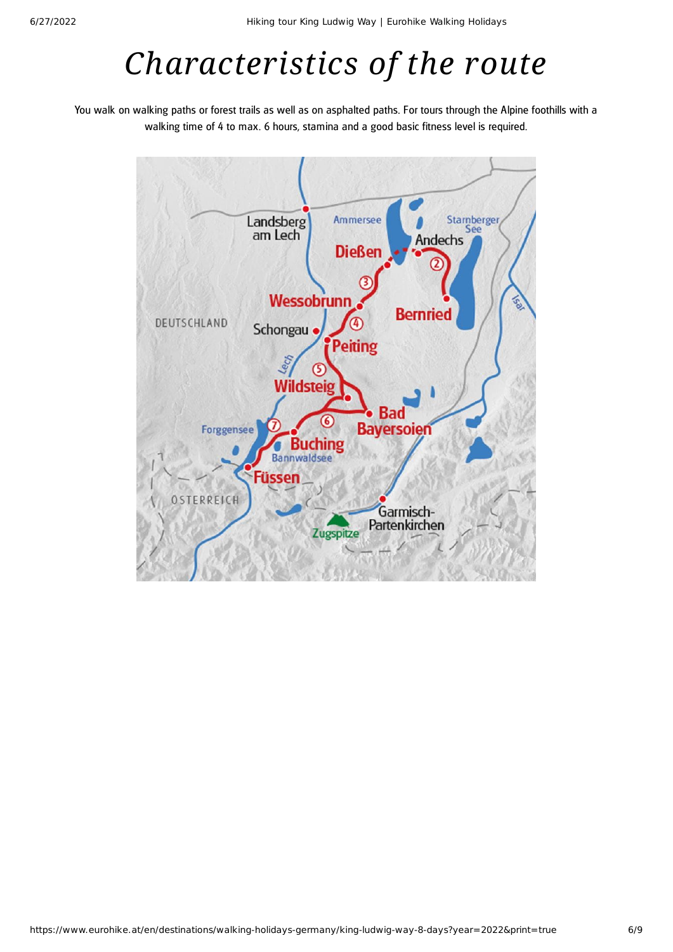# *Characteristics of the route*

You walk on walking paths or forest trails as well as on asphalted paths. For tours through the Alpine foothills with a walking time of 4 to max. 6 hours, stamina and a good basic fitness level is required.

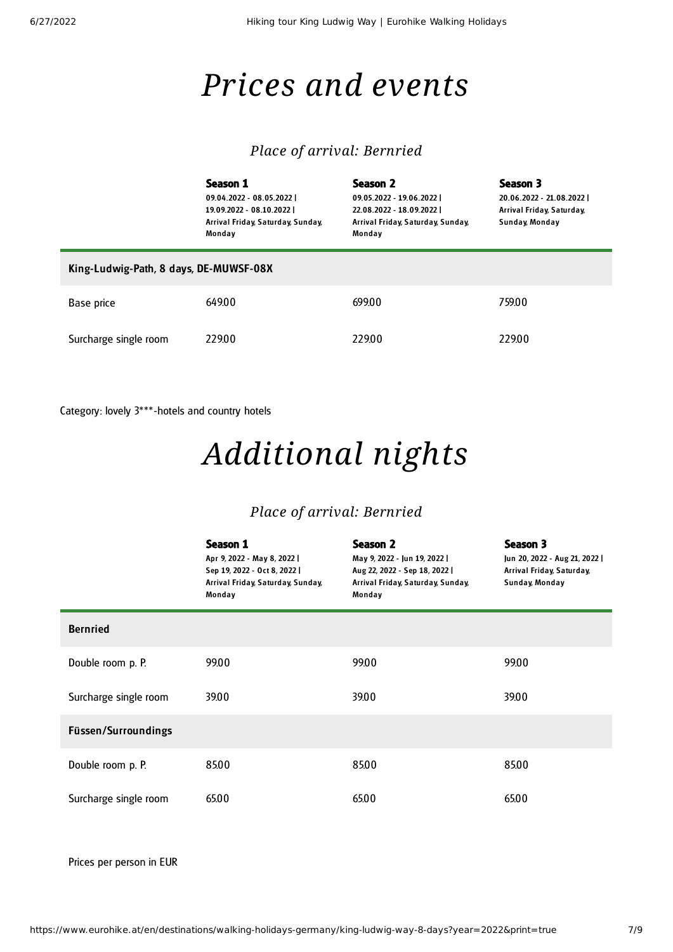## *Prices and events*

#### *Place of arrival: Bernried*

|                                        | Season 1<br>09.04.2022 - 08.05.2022  <br>19.09.2022 - 08.10.2022  <br>Arrival Friday, Saturday, Sunday,<br>Monday | Season 2<br>09.05.2022 - 19.06.2022  <br>22.08.2022 - 18.09.2022  <br>Arrival Friday, Saturday, Sunday,<br>Monday | Season 3<br>20.06.2022 - 21.08.2022  <br>Arrival Friday, Saturday,<br>Sunday, Monday |  |  |  |  |
|----------------------------------------|-------------------------------------------------------------------------------------------------------------------|-------------------------------------------------------------------------------------------------------------------|--------------------------------------------------------------------------------------|--|--|--|--|
| King-Ludwig-Path, 8 days, DE-MUWSF-08X |                                                                                                                   |                                                                                                                   |                                                                                      |  |  |  |  |
| Base price                             | 649.00                                                                                                            | 699.00                                                                                                            | 759.00                                                                               |  |  |  |  |
| Surcharge single room                  | 229.00                                                                                                            | 229.00                                                                                                            | 229.00                                                                               |  |  |  |  |

Category: lovely 3\*\*\*-hotels and country hotels

# *Additional nights*

#### *Place of arrival: Bernried*

|                       | Season 1<br>Apr 9, 2022 - May 8, 2022  <br>Sep 19, 2022 - Oct 8, 2022  <br>Arrival Friday, Saturday, Sunday,<br>Monday | Season 2<br>May 9, 2022 - Jun 19, 2022  <br>Aug 22, 2022 - Sep 18, 2022  <br>Arrival Friday, Saturday, Sunday,<br>Monday | Season 3<br>Jun 20, 2022 - Aug 21, 2022  <br>Arrival Friday, Saturday,<br>Sunday, Monday |  |
|-----------------------|------------------------------------------------------------------------------------------------------------------------|--------------------------------------------------------------------------------------------------------------------------|------------------------------------------------------------------------------------------|--|
| <b>Bernried</b>       |                                                                                                                        |                                                                                                                          |                                                                                          |  |
| Double room p. P.     | 99.00                                                                                                                  | 99.00                                                                                                                    | 99.00                                                                                    |  |
| Surcharge single room | 39.00                                                                                                                  | 39.00                                                                                                                    | 39.00                                                                                    |  |
| Füssen/Surroundings   |                                                                                                                        |                                                                                                                          |                                                                                          |  |
| Double room p. P.     | 85.00                                                                                                                  | 8500                                                                                                                     | 85.00                                                                                    |  |
| Surcharge single room | 65.00                                                                                                                  | 65.00                                                                                                                    | 65.00                                                                                    |  |

Prices per person in EUR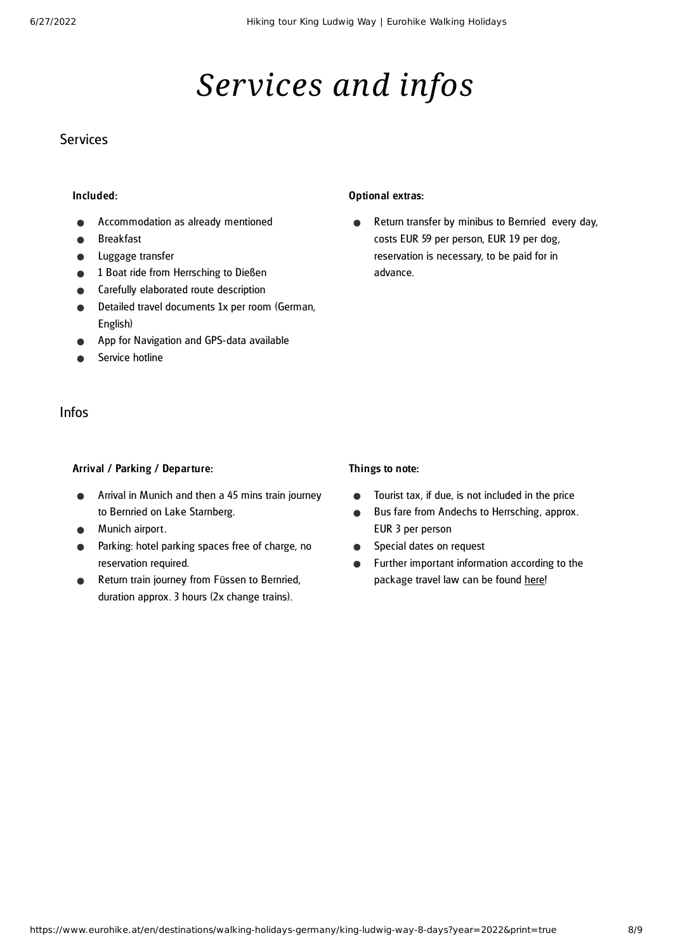## *Services and infos*

#### **Services**

#### Included:

- Accommodation as already mentioned
- Breakfast
- Luggage transfer
- 1 Boat ride from Herrsching to Dießen
- Carefully elaborated route description
- Detailed travel documents 1x per room (German, English)
- App for Navigation and GPS-data available
- Service hotline

#### Infos

#### Arrival / Parking / Departure:

- Arrival in Munich and then a 45 mins train journey to Bernried on Lake Starnberg.
- Munich airport.
- Parking: hotel parking spaces free of charge, no reservation required.
- Return train journey from Füssen to Bernried, duration approx. 3 hours (2x change trains).

#### Optional extras:

Return transfer by minibus to Bernried every day,  $\bullet$ costs EUR 59 per person, EUR 19 per dog, reservation is necessary, to be paid for in advance.

#### Things to note:

- Tourist tax, if due, is not included in the price  $\bullet$
- Bus fare from Andechs to Herrsching, approx.  $\bullet$ EUR 3 per person
- Special dates on request  $\bullet$
- Further important information according to the  $\bullet$ package travel law can be found [here](https://www.eurohike.at/en/travel-information/before-the-tour/pci)!